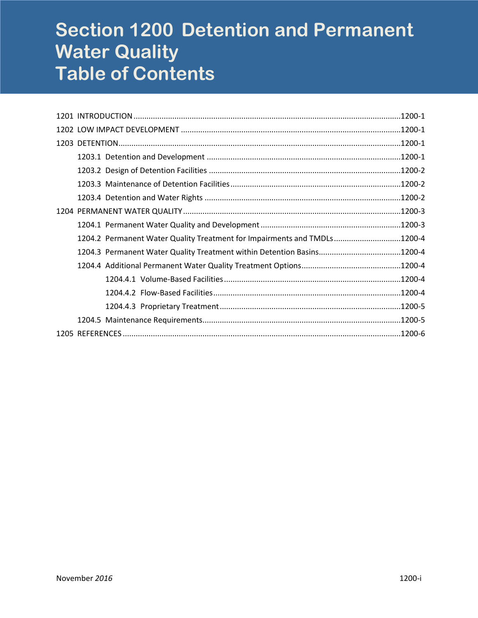# **Section 1200 Detention and Permanent Water Quality Table of Contents**

| 1204.2 Permanent Water Quality Treatment for Impairments and TMDLs1200-4 |  |
|--------------------------------------------------------------------------|--|
|                                                                          |  |
|                                                                          |  |
|                                                                          |  |
|                                                                          |  |
|                                                                          |  |
|                                                                          |  |
|                                                                          |  |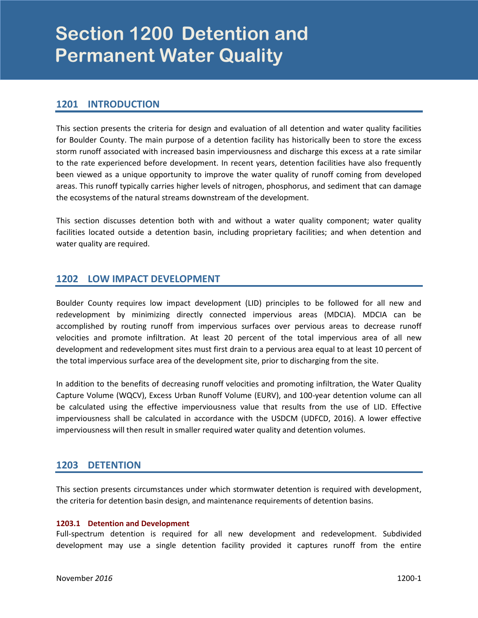# <span id="page-2-0"></span>**Section 1200 Detention and Permanent Water Quality**

# **1201 INTRODUCTION**

This section presents the criteria for design and evaluation of all detention and water quality facilities for Boulder County. The main purpose of a detention facility has historically been to store the excess storm runoff associated with increased basin imperviousness and discharge this excess at a rate similar to the rate experienced before development. In recent years, detention facilities have also frequently been viewed as a unique opportunity to improve the water quality of runoff coming from developed areas. This runoff typically carries higher levels of nitrogen, phosphorus, and sediment that can damage the ecosystems of the natural streams downstream of the development.

This section discusses detention both with and without a water quality component; water quality facilities located outside a detention basin, including proprietary facilities; and when detention and water quality are required.

# **1202 LOW IMPACT DEVELOPMENT**

Boulder County requires low impact development (LID) principles to be followed for all new and redevelopment by minimizing directly connected impervious areas (MDCIA). MDCIA can be accomplished by routing runoff from impervious surfaces over pervious areas to decrease runoff velocities and promote infiltration. At least 20 percent of the total impervious area of all new development and redevelopment sites must first drain to a pervious area equal to at least 10 percent of the total impervious surface area of the development site, prior to discharging from the site.

In addition to the benefits of decreasing runoff velocities and promoting infiltration, the Water Quality Capture Volume (WQCV), Excess Urban Runoff Volume (EURV), and 100-year detention volume can all be calculated using the effective imperviousness value that results from the use of LID. Effective imperviousness shall be calculated in accordance with the USDCM (UDFCD, 2016). A lower effective imperviousness will then result in smaller required water quality and detention volumes.

### **1203 DETENTION**

This section presents circumstances under which stormwater detention is required with development, the criteria for detention basin design, and maintenance requirements of detention basins.

#### **1203.1 Detention and Development**

Full-spectrum detention is required for all new development and redevelopment. Subdivided development may use a single detention facility provided it captures runoff from the entire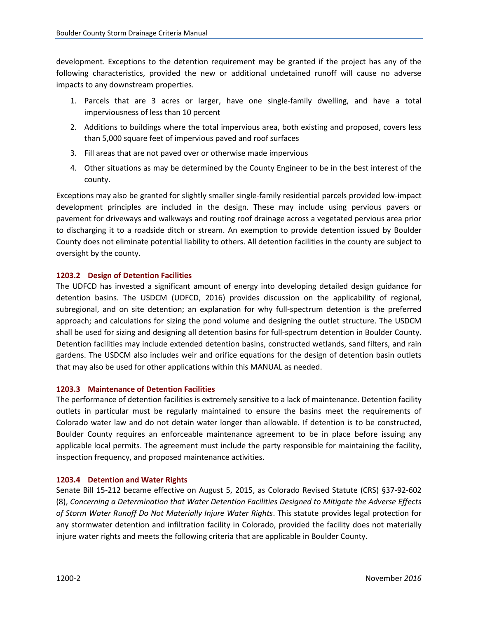<span id="page-3-0"></span>development. Exceptions to the detention requirement may be granted if the project has any of the following characteristics, provided the new or additional undetained runoff will cause no adverse impacts to any downstream properties.

- 1. Parcels that are 3 acres or larger, have one single-family dwelling, and have a total imperviousness of less than 10 percent
- 2. Additions to buildings where the total impervious area, both existing and proposed, covers less than 5,000 square feet of impervious paved and roof surfaces
- 3. Fill areas that are not paved over or otherwise made impervious
- 4. Other situations as may be determined by the County Engineer to be in the best interest of the county.

Exceptions may also be granted for slightly smaller single-family residential parcels provided low-impact development principles are included in the design. These may include using pervious pavers or pavement for driveways and walkways and routing roof drainage across a vegetated pervious area prior to discharging it to a roadside ditch or stream. An exemption to provide detention issued by Boulder County does not eliminate potential liability to others. All detention facilities in the county are subject to oversight by the county.

#### **1203.2 Design of Detention Facilities**

The UDFCD has invested a significant amount of energy into developing detailed design guidance for detention basins. The USDCM (UDFCD, 2016) provides discussion on the applicability of regional, subregional, and on site detention; an explanation for why full-spectrum detention is the preferred approach; and calculations for sizing the pond volume and designing the outlet structure. The USDCM shall be used for sizing and designing all detention basins for full-spectrum detention in Boulder County. Detention facilities may include extended detention basins, constructed wetlands, sand filters, and rain gardens. The USDCM also includes weir and orifice equations for the design of detention basin outlets that may also be used for other applications within this MANUAL as needed.

#### **1203.3 Maintenance of Detention Facilities**

The performance of detention facilities is extremely sensitive to a lack of maintenance. Detention facility outlets in particular must be regularly maintained to ensure the basins meet the requirements of Colorado water law and do not detain water longer than allowable. If detention is to be constructed, Boulder County requires an enforceable maintenance agreement to be in place before issuing any applicable local permits. The agreement must include the party responsible for maintaining the facility, inspection frequency, and proposed maintenance activities.

#### **1203.4 Detention and Water Rights**

Senate Bill 15-212 became effective on August 5, 2015, as Colorado Revised Statute (CRS) §37-92-602 (8), *Concerning a Determination that Water Detention Facilities Designed to Mitigate the Adverse Effects of Storm Water Runoff Do Not Materially Injure Water Rights*. This statute provides legal protection for any stormwater detention and infiltration facility in Colorado, provided the facility does not materially injure water rights and meets the following criteria that are applicable in Boulder County.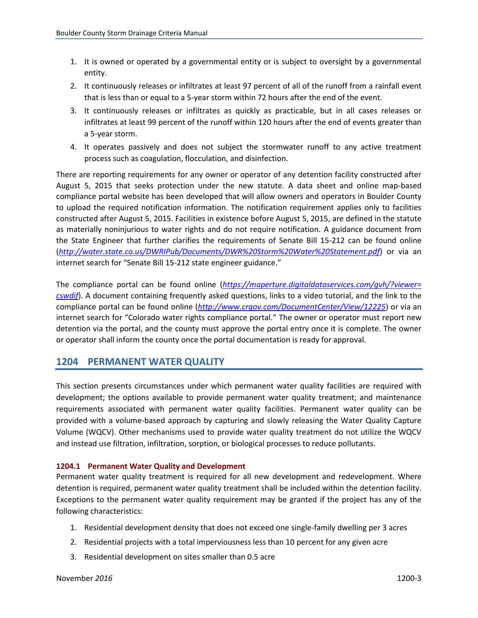- <span id="page-4-0"></span>1. It is owned or operated by a governmental entity or is subject to oversight by a governmental entity.
- 2. It continuously releases or infiltrates at least 97 percent of all of the runoff from a rainfall event that is less than or equal to a 5-year storm within 72 hours after the end of the event.
- 3. It continuously releases or infiltrates as quickly as practicable, but in all cases releases or infiltrates at least 99 percent of the runoff within 120 hours after the end of events greater than a 5-year storm.
- 4. It operates passively and does not subject the stormwater runoff to any active treatment process such as coagulation, flocculation, and disinfection.

There are reporting requirements for any owner or operator of any detention facility constructed after August 5, 2015 that seeks protection under the new statute. A data sheet and online map-based compliance portal website has been developed that will allow owners and operators in Boulder County to upload the required notification information. The notification requirement applies only to facilities constructed after August 5, 2015. Facilities in existence before August 5, 2015, are defined in the statute as materially noninjurious to water rights and do not require notification. A guidance document from the State Engineer that further clarifies the requirements of Senate Bill 15-212 can be found online (*<http://water.state.co.us/DWRIPub/Documents/DWR%20Storm%20Water%20Statement.pdf>*) or via an internet search for "Senate Bill 15-212 state engineer guidance."

The compliance portal can be found online (*[https://maperture.digitaldataservices.com/gvh/?viewer=](https://maperture.digitaldataservices.com/gvh/?viewer=cswdif) [cswdif](https://maperture.digitaldataservices.com/gvh/?viewer=cswdif)*). A document containing frequently asked questions, links to a video tutorial, and the link to the compliance portal can be found online (*<http://www.crgov.com/DocumentCenter/View/12225>*) or via an internet search for "Colorado water rights compliance portal." The owner or operator must report new detention via the portal, and the county must approve the portal entry once it is complete. The owner or operator shall inform the county once the portal documentation is ready for approval.

### **1204 PERMANENT WATER QUALITY**

This section presents circumstances under which permanent water quality facilities are required with development; the options available to provide permanent water quality treatment; and maintenance requirements associated with permanent water quality facilities. Permanent water quality can be provided with a volume-based approach by capturing and slowly releasing the Water Quality Capture Volume (WQCV). Other mechanisms used to provide water quality treatment do not utilize the WQCV and instead use filtration, infiltration, sorption, or biological processes to reduce pollutants.

#### **1204.1 Permanent Water Quality and Development**

Permanent water quality treatment is required for all new development and redevelopment. Where detention is required, permanent water quality treatment shall be included within the detention facility. Exceptions to the permanent water quality requirement may be granted if the project has any of the following characteristics:

- 1. Residential development density that does not exceed one single-family dwelling per 3 acres
- 2. Residential projects with a total imperviousness less than 10 percent for any given acre
- 3. Residential development on sites smaller than 0.5 acre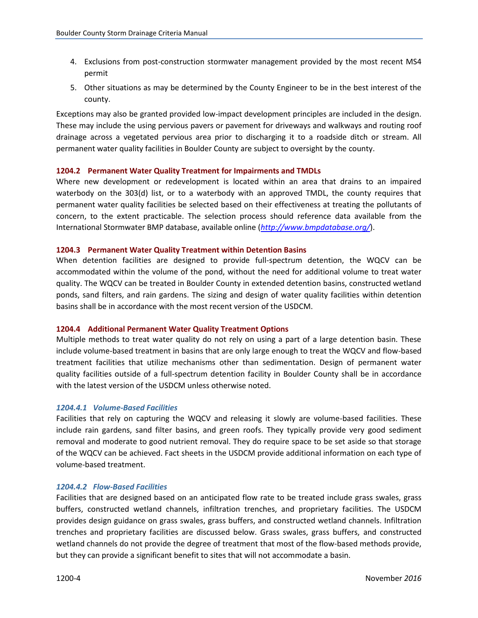- <span id="page-5-0"></span>4. Exclusions from post-construction stormwater management provided by the most recent MS4 permit
- 5. Other situations as may be determined by the County Engineer to be in the best interest of the county.

Exceptions may also be granted provided low-impact development principles are included in the design. These may include the using pervious pavers or pavement for driveways and walkways and routing roof drainage across a vegetated pervious area prior to discharging it to a roadside ditch or stream. All permanent water quality facilities in Boulder County are subject to oversight by the county.

#### **1204.2 Permanent Water Quality Treatment for Impairments and TMDLs**

Where new development or redevelopment is located within an area that drains to an impaired waterbody on the 303(d) list, or to a waterbody with an approved TMDL, the county requires that permanent water quality facilities be selected based on their effectiveness at treating the pollutants of concern, to the extent practicable. The selection process should reference data available from the International Stormwater BMP database, available online (*<http://www.bmpdatabase.org/>*).

#### **1204.3 Permanent Water Quality Treatment within Detention Basins**

When detention facilities are designed to provide full-spectrum detention, the WQCV can be accommodated within the volume of the pond, without the need for additional volume to treat water quality. The WQCV can be treated in Boulder County in extended detention basins, constructed wetland ponds, sand filters, and rain gardens. The sizing and design of water quality facilities within detention basins shall be in accordance with the most recent version of the USDCM.

#### **1204.4 Additional Permanent Water Quality Treatment Options**

Multiple methods to treat water quality do not rely on using a part of a large detention basin. These include volume-based treatment in basins that are only large enough to treat the WQCV and flow-based treatment facilities that utilize mechanisms other than sedimentation. Design of permanent water quality facilities outside of a full-spectrum detention facility in Boulder County shall be in accordance with the latest version of the USDCM unless otherwise noted.

#### *1204.4.1 Volume-Based Facilities*

Facilities that rely on capturing the WQCV and releasing it slowly are volume-based facilities. These include rain gardens, sand filter basins, and green roofs. They typically provide very good sediment removal and moderate to good nutrient removal. They do require space to be set aside so that storage of the WQCV can be achieved. Fact sheets in the USDCM provide additional information on each type of volume-based treatment.

#### *1204.4.2 Flow-Based Facilities*

Facilities that are designed based on an anticipated flow rate to be treated include grass swales, grass buffers, constructed wetland channels, infiltration trenches, and proprietary facilities. The USDCM provides design guidance on grass swales, grass buffers, and constructed wetland channels. Infiltration trenches and proprietary facilities are discussed below. Grass swales, grass buffers, and constructed wetland channels do not provide the degree of treatment that most of the flow-based methods provide, but they can provide a significant benefit to sites that will not accommodate a basin.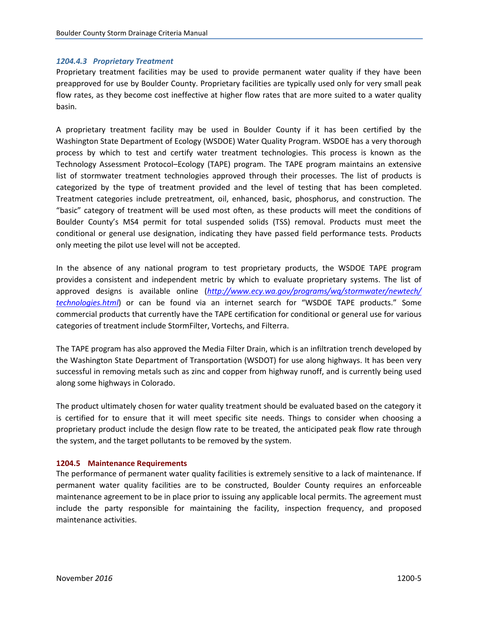#### <span id="page-6-0"></span>*1204.4.3 Proprietary Treatment*

Proprietary treatment facilities may be used to provide permanent water quality if they have been preapproved for use by Boulder County. Proprietary facilities are typically used only for very small peak flow rates, as they become cost ineffective at higher flow rates that are more suited to a water quality basin.

A proprietary treatment facility may be used in Boulder County if it has been certified by the Washington State Department of Ecology (WSDOE) Water Quality Program. WSDOE has a very thorough process by which to test and certify water treatment technologies. This process is known as the Technology Assessment Protocol–Ecology (TAPE) program. The TAPE program maintains an extensive list of stormwater treatment technologies approved through their processes. The list of products is categorized by the type of treatment provided and the level of testing that has been completed. Treatment categories include pretreatment, oil, enhanced, basic, phosphorus, and construction. The "basic" category of treatment will be used most often, as these products will meet the conditions of Boulder County's MS4 permit for total suspended solids (TSS) removal. Products must meet the conditional or general use designation, indicating they have passed field performance tests. Products only meeting the pilot use level will not be accepted.

In the absence of any national program to test proprietary products, the WSDOE TAPE program provides a consistent and independent metric by which to evaluate proprietary systems. The list of approved designs is available online (*[http://www.ecy.wa.gov/programs/wq/stormwater/newtech/](http://www.ecy.wa.gov/programs/wq/stormwater/newtech/technologies.html) [technologies.html](http://www.ecy.wa.gov/programs/wq/stormwater/newtech/technologies.html)*) or can be found via an internet search for "WSDOE TAPE products." Some commercial products that currently have the TAPE certification for conditional or general use for various categories of treatment include StormFilter, Vortechs, and Filterra.

The TAPE program has also approved the Media Filter Drain, which is an infiltration trench developed by the Washington State Department of Transportation (WSDOT) for use along highways. It has been very successful in removing metals such as zinc and copper from highway runoff, and is currently being used along some highways in Colorado.

The product ultimately chosen for water quality treatment should be evaluated based on the category it is certified for to ensure that it will meet specific site needs. Things to consider when choosing a proprietary product include the design flow rate to be treated, the anticipated peak flow rate through the system, and the target pollutants to be removed by the system.

#### **1204.5 Maintenance Requirements**

The performance of permanent water quality facilities is extremely sensitive to a lack of maintenance. If permanent water quality facilities are to be constructed, Boulder County requires an enforceable maintenance agreement to be in place prior to issuing any applicable local permits. The agreement must include the party responsible for maintaining the facility, inspection frequency, and proposed maintenance activities.